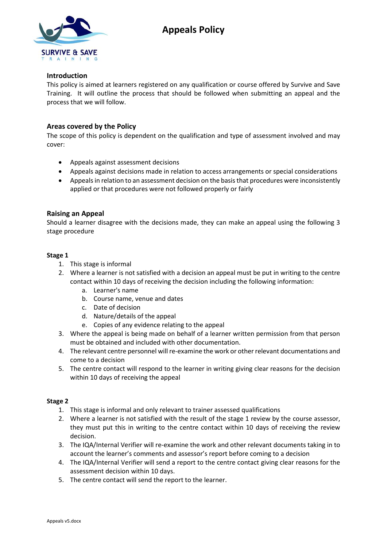



# **Introduction**

This policy is aimed at learners registered on any qualification or course offered by Survive and Save Training. It will outline the process that should be followed when submitting an appeal and the process that we will follow.

# **Areas covered by the Policy**

The scope of this policy is dependent on the qualification and type of assessment involved and may cover:

- Appeals against assessment decisions
- Appeals against decisions made in relation to access arrangements or special considerations
- Appeals in relation to an assessment decision on the basis that procedures were inconsistently applied or that procedures were not followed properly or fairly

## **Raising an Appeal**

Should a learner disagree with the decisions made, they can make an appeal using the following 3 stage procedure

### **Stage 1**

- 1. This stage is informal
- 2. Where a learner is not satisfied with a decision an appeal must be put in writing to the centre contact within 10 days of receiving the decision including the following information:
	- a. Learner's name
	- b. Course name, venue and dates
	- c. Date of decision
	- d. Nature/details of the appeal
	- e. Copies of any evidence relating to the appeal
- 3. Where the appeal is being made on behalf of a learner written permission from that person must be obtained and included with other documentation.
- 4. The relevant centre personnel will re-examine the work or other relevant documentations and come to a decision
- 5. The centre contact will respond to the learner in writing giving clear reasons for the decision within 10 days of receiving the appeal

### **Stage 2**

- 1. This stage is informal and only relevant to trainer assessed qualifications
- 2. Where a learner is not satisfied with the result of the stage 1 review by the course assessor, they must put this in writing to the centre contact within 10 days of receiving the review decision.
- 3. The IQA/Internal Verifier will re-examine the work and other relevant documents taking in to account the learner's comments and assessor's report before coming to a decision
- 4. The IQA/Internal Verifier will send a report to the centre contact giving clear reasons for the assessment decision within 10 days.
- 5. The centre contact will send the report to the learner.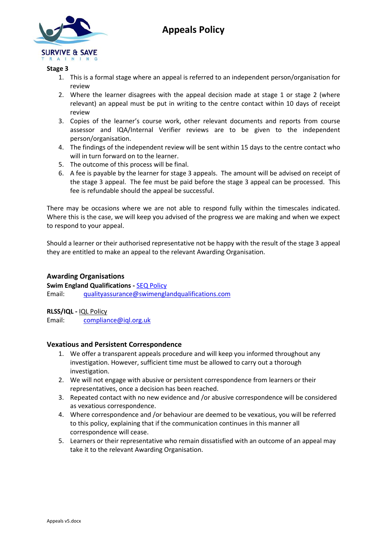

# **Appeals Policy**

## **Stage 3**

- 1. This is a formal stage where an appeal is referred to an independent person/organisation for review
- 2. Where the learner disagrees with the appeal decision made at stage 1 or stage 2 (where relevant) an appeal must be put in writing to the centre contact within 10 days of receipt review
- 3. Copies of the learner's course work, other relevant documents and reports from course assessor and IQA/Internal Verifier reviews are to be given to the independent person/organisation.
- 4. The findings of the independent review will be sent within 15 days to the centre contact who will in turn forward on to the learner.
- 5. The outcome of this process will be final.
- 6. A fee is payable by the learner for stage 3 appeals. The amount will be advised on receipt of the stage 3 appeal. The fee must be paid before the stage 3 appeal can be processed. This fee is refundable should the appeal be successful.

There may be occasions where we are not able to respond fully within the timescales indicated. Where this is the case, we will keep you advised of the progress we are making and when we expect to respond to your appeal.

Should a learner or their authorised representative not be happy with the result of the stage 3 appeal they are entitled to make an appeal to the relevant Awarding Organisation.

# **Awarding Organisations**

**Swim England Qualifications -** [SEQ Policy](https://swimenglandqualifications.com/our-policies/) Email: [qualityassurance@swimenglandqualifications.com](mailto:qualityassurance@swimenglandqualifications.com)

**RLSS/IQL -** [IQL Policy](https://www.rlss.org.uk/appeals-and-complaints-policies-for-regulated-qualifications) 

Email: [compliance@iql.org.uk](mailto:compliance@iql.org.uk)

### **Vexatious and Persistent Correspondence**

- 1. We offer a transparent appeals procedure and will keep you informed throughout any investigation. However, sufficient time must be allowed to carry out a thorough investigation.
- 2. We will not engage with abusive or persistent correspondence from learners or their representatives, once a decision has been reached.
- 3. Repeated contact with no new evidence and /or abusive correspondence will be considered as vexatious correspondence.
- 4. Where correspondence and /or behaviour are deemed to be vexatious, you will be referred to this policy, explaining that if the communication continues in this manner all correspondence will cease.
- 5. Learners or their representative who remain dissatisfied with an outcome of an appeal may take it to the relevant Awarding Organisation.